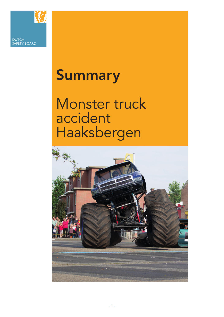

DUTCH SAFETY BOARD

## Summary

Monster truck accident Haaksbergen

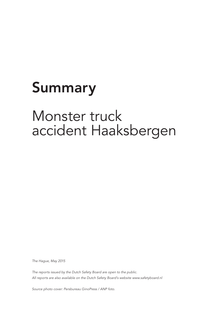# Summary

### Monster truck accident Haaksbergen

*The Hague, May 2015*

*The reports issued by the Dutch Safety Board are open to the public. All reports are also available on the Dutch Safety Board's website www.safetyboard.nl*

*Source photo cover: Persbureau GinoPress / ANP foto.*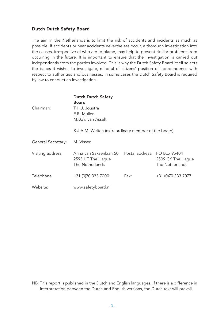#### Dutch Dutch Safety Board

The aim in the Netherlands is to limit the risk of accidents and incidents as much as possible. If accidents or near accidents nevertheless occur, a thorough investigation into the causes, irrespective of who are to blame, may help to prevent similar problems from occurring in the future. It is important to ensure that the investigation is carried out independently from the parties involved. This is why the Dutch Safety Board itself selects the issues it wishes to investigate, mindful of citizens' position of independence with respect to authorities and businesses. In some cases the Dutch Safety Board is required by law to conduct an investigation.

| Chairman:          | <b>Dutch Dutch Safety</b><br><b>Board</b><br>T.H.J. Joustra<br>E.R. Muller<br>M.B.A. van Asselt<br>B.J.A.M. Welten (extraordinary member of the board) |                              |                                      |
|--------------------|--------------------------------------------------------------------------------------------------------------------------------------------------------|------------------------------|--------------------------------------|
| General Secretary: | M. Visser                                                                                                                                              |                              |                                      |
| Visiting address:  | Anna van Saksenlaan 50<br>2593 HT The Hague<br>The Netherlands                                                                                         | Postal address: PO Box 95404 | 2509 CK The Hague<br>The Netherlands |
| Telephone:         | +31 (0)70 333 7000                                                                                                                                     | Fax:                         | +31 (0)70 333 7077                   |
| Website:           | www.safetyboard.nl                                                                                                                                     |                              |                                      |

NB: This report is published in the Dutch and English languages. If there is a difference in interpretation between the Dutch and English versions, the Dutch text will prevail.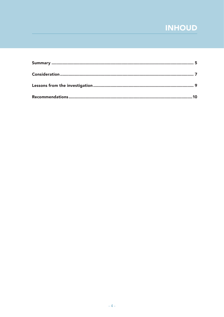### **INHOUD**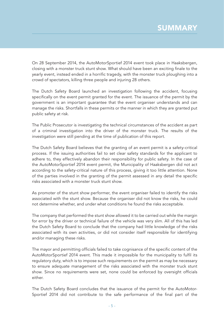On 28 September 2014, the AutoMotorSportief 2014 event took place in Haaksbergen, closing with a monster truck stunt show. What should have been an exciting finale to the yearly event, instead ended in a horrific tragedy, with the monster truck ploughing into a crowd of spectators, killing three people and injuring 28 others.

The Dutch Safety Board launched an investigation following the accident, focusing specifically on the event permit granted for the event. The issuance of the permit by the government is an important guarantee that the event organiser understands and can manage the risks. Shortfalls in these permits or the manner in which they are granted put public safety at risk.

The Public Prosecutor is investigating the technical circumstances of the accident as part of a criminal investigation into the driver of the monster truck. The results of the investigation were still pending at the time of publication of this report.

The Dutch Safety Board believes that the granting of an event permit is a safety-critical process. If the issuing authorities fail to set clear safety standards for the applicant to adhere to, they effectively abandon their responsibility for public safety. In the case of the AutoMotorSportief 2014 event permit, the Municipality of Haaksbergen did not act according to the safety-critical nature of this process, giving it too little attention. None of the parties involved in the granting of the permit assessed in any detail the specific risks associated with a monster truck stunt show.

As promoter of the stunt show performer, the event organiser failed to identify the risks associated with the stunt show. Because the organiser did not know the risks, he could not determine whether, and under what conditions he found the risks acceptable.

The company that performed the stunt show allowed it to be carried out while the margin for error by the driver or technical failure of the vehicle was very slim. All of this has led the Dutch Safety Board to conclude that the company had little knowledge of the risks associated with its own activities, or did not consider itself responsible for identifying and/or managing these risks.

The mayor and permitting officials failed to take cognisance of the specific content of the AutoMotorSportief 2014 event. This made it impossible for the municipality to fulfil its regulatory duty, which is to impose such requirements on the permit as may be necessary to ensure adequate management of the risks associated with the monster truck stunt show. Since no requirements were set, none could be enforced by oversight officials either.

The Dutch Safety Board concludes that the issuance of the permit for the AutoMotor-Sportief 2014 did not contribute to the safe performance of the final part of the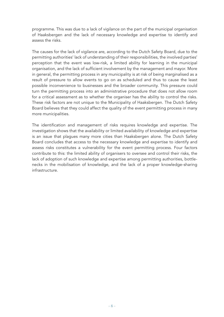programme. This was due to a lack of vigilance on the part of the municipal organisation of Haaksbergen and the lack of necessary knowledge and expertise to identify and assess the risks.

The causes for the lack of vigilance are, according to the Dutch Safety Board, due to the permitting authorities' lack of understanding of their responsibilities, the involved parties' perception that the event was low-risk, a limited ability for learning in the municipal organisation, and the lack of sufficient involvement by the management and mayor. More in general, the permitting process in any municipality is at risk of being marginalised as a result of pressure to allow events to go on as scheduled and thus to cause the least possible inconvenience to businesses and the broader community. This pressure could turn the permitting process into an administrative procedure that does not allow room for a critical assessment as to whether the organiser has the ability to control the risks. These risk factors are not unique to the Municipality of Haaksbergen. The Dutch Safety Board believes that they could affect the quality of the event permitting process in many more municipalities.

The identification and management of risks requires knowledge and expertise. The investigation shows that the availability or limited availability of knowledge and expertise is an issue that plagues many more cities than Haaksbergen alone. The Dutch Safety Board concludes that access to the necessary knowledge and expertise to identify and assess risks constitutes a vulnerability for the event permitting process. Four factors contribute to this: the limited ability of organisers to oversee and control their risks, the lack of adoption of such knowledge and expertise among permitting authorities, bottlenecks in the mobilisation of knowledge, and the lack of a proper knowledge-sharing infrastructure.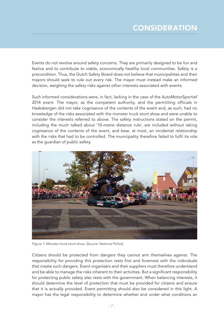Events do not revolve around safety concerns. They are primarily designed to be fun and festive and to contribute to viable, economically healthy local communities. Safety is a precondition. Thus, the Dutch Safety Board does not believe that municipalities and their mayors should seek to rule out every risk. The mayor must instead make an informed decision, weighing the safety risks against other interests associated with events.

Such informed considerations were, in fact, lacking in the case of the AutoMotorSportief 2014 event. The mayor, as the competent authority, and the permitting officials in Haaksbergen did not take cognisance of the contents of the event and, as such, had no knowledge of the risks associated with the monster truck stunt show and were unable to consider the interests referred to above. The safety instructions stated on the permit, including the much talked about '10-metre distance rule', are included without taking cognisance of the contents of the event, and bear, at most, an incidental relationship with the risks that had to be controlled. The municipality therefore failed to fulfil its role as the guardian of public safety.



*Figure 1: Monster truck stunt show. (Source: National Police)*

Citizens should be protected from dangers they cannot arm themselves against. The responsibility for providing this protection rests first and foremost with the individuals that create such dangers. Event organisers and their suppliers must therefore understand and be able to manage the risks inherent to their activities. But a significant responsibility for protecting public safety also rests with the government. When balancing interests, it should determine the level of protection that must be provided for citizens and ensure that it is actually provided. Event permitting should also be considered in this light. A mayor has the legal responsibility to determine whether and under what conditions an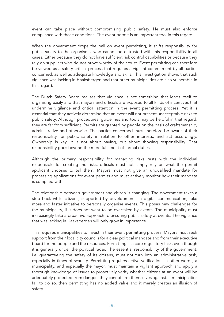event can take place without compromising public safety. He must also enforce compliance with those conditions. The event permit is an important tool in this regard.

When the government drops the ball on event permitting, it shifts responsibility for public safety to the organisers, who cannot be entrusted with this responsibility in all cases. Either because they do not have sufficient risk control capabilities or because they rely on suppliers who do not prove worthy of their trust. Event permitting can therefore be viewed as a safety-critical process that requires a vigilant commitment by all parties concerned, as well as adequate knowledge and skills. This investigation shows that such vigilance was lacking in Haaksbergen and that other municipalities are also vulnerable in this regard.

The Dutch Safety Board realises that vigilance is not something that lends itself to organising easily and that mayors and officials are exposed to all kinds of incentives that undermine vigilance and critical attention in the event permitting process. Yet it is essential that they actively determine that an event will not present unacceptable risks to public safety. Although procedures, guidelines and tools may be helpful in that regard, they are far from sufficient. Permits are granted by people on the basis of craftsmanship, administrative and otherwise. The parties concerned must therefore be aware of their responsibility for public safety in relation to other interests, and act accordingly. Ownership is key. It is not about having, but about showing responsibility. That responsibility goes beyond the mere fulfilment of formal duties.

Although the primary responsibility for managing risks rests with the individual responsible for creating the risks, officials must not simply rely on what the permit applicant chooses to tell them. Mayors must not give an unqualified mandate for processing applications for event permits and must actively monitor how their mandate is complied with.

The relationship between government and citizen is changing. The government takes a step back while citizens, supported by developments in digital communication, take more and faster initiative to personally organise events. This poses new challenges for the municipality, if it does not want to be overtaken by events. The municipality must increasingly take a proactive approach to ensuring public safety at events. The vigilance that was lacking in Haaksbergen will only grow in importance.

This requires municipalities to invest in their event permitting process. Mayors must seek support from their local city councils for a clear political mandate and from their executive board for the people and the resources. Permitting is a core regulatory task, even though it is generally under the political radar. The essential responsibility of the government, i.e. guaranteeing the safety of its citizens, must not turn into an administrative task, especially in times of scarcity. Permitting requires active verification. In other words, a municipality, and especially the mayor, must maintain a vigilant approach and apply a thorough knowledge of issues to proactively verify whether citizens at an event will be adequately protected from dangers they cannot arm themselves against. If municipalities fail to do so, then permitting has no added value and it merely creates an illusion of safety.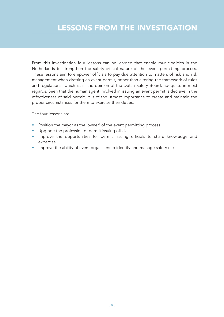From this investigation four lessons can be learned that enable municipalities in the Netherlands to strengthen the safety-critical nature of the event permitting process. These lessons aim to empower officials to pay due attention to matters of risk and risk management when drafting an event permit, rather than altering the framework of rules and regulations which is, in the opinion of the Dutch Safety Board, adequate in most regards. Seen that the human agent involved in issuing an event permit is decisive in the effectiveness of said permit, it is of the utmost importance to create and maintain the proper circumstances for them to exercise their duties.

The four lessons are:

- Position the mayor as the 'owner' of the event permitting process
- Upgrade the profession of permit issuing official
- Improve the opportunities for permit issuing officials to share knowledge and expertise
- Improve the ability of event organisers to identify and manage safety risks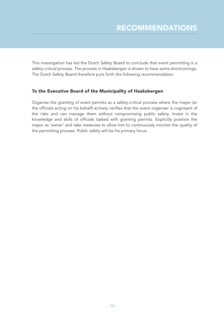This investigation has led the Dutch Safety Board to conclude that event permitting is a safety-critical process. The process in Haaksbergen is shown to have some shortcomings. The Dutch Safety Board therefore puts forth the following recommendation:

#### To the Executive Board of the Municipality of Haaksbergen

Organise the granting of event permits as a safety-critical process where the mayor (or the officials acting on his behalf) actively verifies that the event organiser is cognisant of the risks and can manage them without compromising public safety. Invest in the knowledge and skills of officials tasked with granting permits. Explicitly position the mayor as 'owner' and take measures to allow him to continuously monitor the quality of the permitting process. Public safety will be his primary focus.